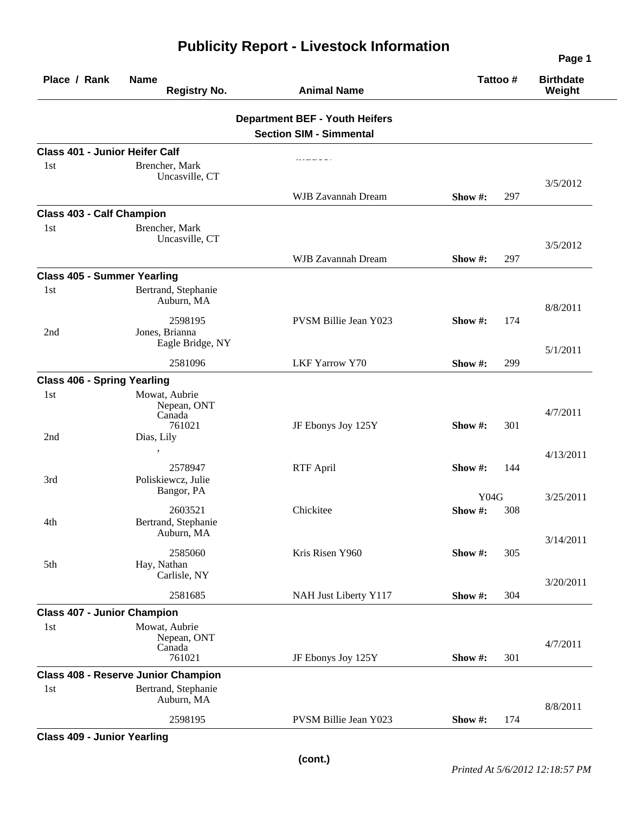|                                       |                                                  |                                       |             |     | Page 1                     |
|---------------------------------------|--------------------------------------------------|---------------------------------------|-------------|-----|----------------------------|
| Place / Rank                          | <b>Name</b><br><b>Registry No.</b>               | <b>Animal Name</b>                    | Tattoo #    |     | <b>Birthdate</b><br>Weight |
|                                       |                                                  | <b>Department BEF - Youth Heifers</b> |             |     |                            |
|                                       |                                                  | <b>Section SIM - Simmental</b>        |             |     |                            |
| <b>Class 401 - Junior Heifer Calf</b> |                                                  |                                       |             |     |                            |
| 1st                                   | Brencher, Mark<br>Uncasville, CT                 |                                       |             |     | 3/5/2012                   |
|                                       |                                                  | WJB Zavannah Dream                    | Show #:     | 297 |                            |
| <b>Class 403 - Calf Champion</b>      |                                                  |                                       |             |     |                            |
| 1 <sub>st</sub>                       | Brencher, Mark<br>Uncasville, CT                 |                                       |             |     | 3/5/2012                   |
|                                       |                                                  | WJB Zavannah Dream                    | Show #:     | 297 |                            |
| <b>Class 405 - Summer Yearling</b>    |                                                  |                                       |             |     |                            |
| 1st                                   | Bertrand, Stephanie<br>Auburn, MA                |                                       |             |     | 8/8/2011                   |
| 2nd                                   | 2598195<br>Jones, Brianna                        | PVSM Billie Jean Y023                 | Show #:     | 174 |                            |
|                                       | Eagle Bridge, NY<br>2581096                      | <b>LKF Yarrow Y70</b>                 | Show #:     | 299 | 5/1/2011                   |
| <b>Class 406 - Spring Yearling</b>    |                                                  |                                       |             |     |                            |
| 1st                                   | Mowat, Aubrie<br>Nepean, ONT<br>Canada<br>761021 | JF Ebonys Joy 125Y                    | Show #:     | 301 | 4/7/2011                   |
| 2nd                                   | Dias, Lily                                       |                                       |             |     | 4/13/2011                  |
| 3rd                                   | 2578947<br>Poliskiewcz, Julie<br>Bangor, PA      | <b>RTF April</b>                      | Show #:     | 144 |                            |
|                                       |                                                  |                                       | Y04G        |     | 3/25/2011                  |
| 4th                                   | 2603521<br>Bertrand, Stephanie<br>Auburn, MA     | Chickitee                             | Show $\#$ : | 308 |                            |
| 5th                                   | 2585060<br>Hay, Nathan                           | Kris Risen Y960                       | Show #:     | 305 | 3/14/2011                  |
|                                       | Carlisle, NY<br>2581685                          | NAH Just Liberty Y117                 | Show #:     | 304 | 3/20/2011                  |
| <b>Class 407 - Junior Champion</b>    |                                                  |                                       |             |     |                            |
| 1st                                   | Mowat, Aubrie<br>Nepean, ONT                     |                                       |             |     | 4/7/2011                   |
|                                       | Canada<br>761021                                 | JF Ebonys Joy 125Y                    | Show #:     | 301 |                            |
|                                       | <b>Class 408 - Reserve Junior Champion</b>       |                                       |             |     |                            |
| 1st                                   | Bertrand, Stephanie<br>Auburn, MA                |                                       |             |     | 8/8/2011                   |
|                                       | 2598195                                          | PVSM Billie Jean Y023                 | Show #:     | 174 |                            |
|                                       |                                                  |                                       |             |     |                            |

## **Publicity Report - Livestock Information**

**Class 409 - Junior Yearling**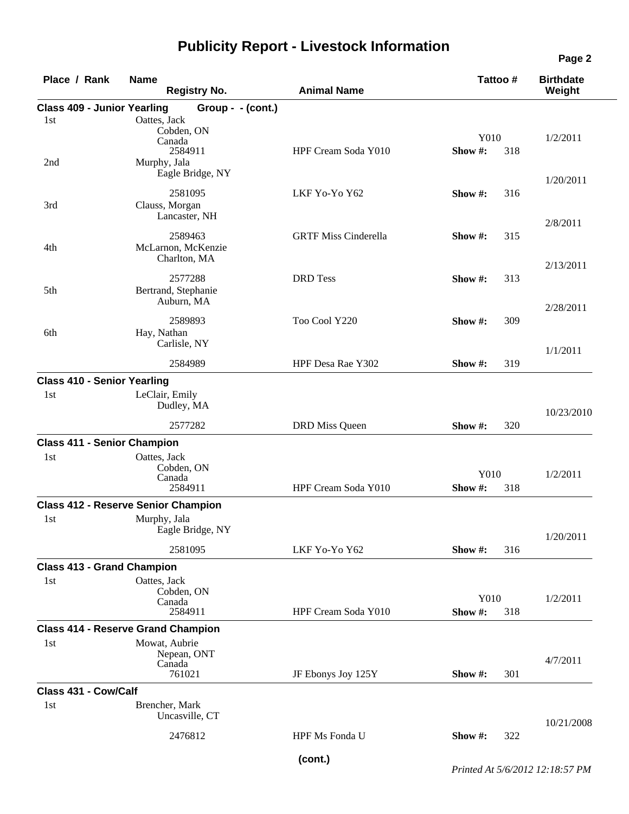| Place / Rank                       | <b>Name</b><br><b>Registry No.</b>               | <b>Animal Name</b>          | Tattoo#               | <b>Birthdate</b><br>Weight |
|------------------------------------|--------------------------------------------------|-----------------------------|-----------------------|----------------------------|
| <b>Class 409 - Junior Yearling</b> | Group - - (cont.)                                |                             |                       |                            |
| 1st                                | Oattes, Jack<br>Cobden, ON<br>Canada<br>2584911  | HPF Cream Soda Y010         | Y010<br>Show#:<br>318 | 1/2/2011                   |
| 2nd                                | Murphy, Jala<br>Eagle Bridge, NY                 |                             |                       | 1/20/2011                  |
| 3rd                                | 2581095<br>Clauss, Morgan<br>Lancaster, NH       | LKF Yo-Yo Y62               | Show $\#$ :<br>316    | 2/8/2011                   |
| 4th                                | 2589463<br>McLarnon, McKenzie<br>Charlton, MA    | <b>GRTF Miss Cinderella</b> | 315<br>Show $\#$ :    |                            |
| 5th                                | 2577288<br>Bertrand, Stephanie<br>Auburn, MA     | <b>DRD</b> Tess             | Show #:<br>313        | 2/13/2011                  |
| 6th                                | 2589893<br>Hay, Nathan<br>Carlisle, NY           | Too Cool Y220               | Show #:<br>309        | 2/28/2011                  |
|                                    | 2584989                                          | HPF Desa Rae Y302           | Show#:<br>319         | 1/1/2011                   |
| <b>Class 410 - Senior Yearling</b> |                                                  |                             |                       |                            |
| 1st                                | LeClair, Emily<br>Dudley, MA                     |                             |                       | 10/23/2010                 |
|                                    | 2577282                                          | <b>DRD</b> Miss Queen       | 320<br>Show $#$ :     |                            |
| <b>Class 411 - Senior Champion</b> |                                                  |                             |                       |                            |
| 1st                                | Oattes, Jack<br>Cobden, ON<br>Canada             |                             | Y010                  | 1/2/2011                   |
|                                    | 2584911                                          | HPF Cream Soda Y010         | 318<br>Show #:        |                            |
|                                    | <b>Class 412 - Reserve Senior Champion</b>       |                             |                       |                            |
| 1st                                | Murphy, Jala<br>Eagle Bridge, NY                 |                             |                       | 1/20/2011                  |
|                                    | 2581095                                          | LKF Yo-Yo Y62               | Show#:<br>316         |                            |
| <b>Class 413 - Grand Champion</b>  |                                                  |                             |                       |                            |
| 1st                                | Oattes, Jack<br>Cobden, ON<br>Canada<br>2584911  | HPF Cream Soda Y010         | Y010<br>Show#:<br>318 | 1/2/2011                   |
|                                    | <b>Class 414 - Reserve Grand Champion</b>        |                             |                       |                            |
| 1st                                | Mowat, Aubrie<br>Nepean, ONT<br>Canada<br>761021 | JF Ebonys Joy 125Y          | 301<br>Show #:        | 4/7/2011                   |
| Class 431 - Cow/Calf               |                                                  |                             |                       |                            |
| 1st                                | Brencher, Mark<br>Uncasville, CT                 |                             |                       | 10/21/2008                 |
|                                    | 2476812                                          | HPF Ms Fonda U              | 322<br>Show #:        |                            |
|                                    |                                                  |                             |                       |                            |

## **Publicity Report - Livestock Information**

*Printed At 5/6/2012 12:18:57 PM*

**(cont.)**

**Page 2**